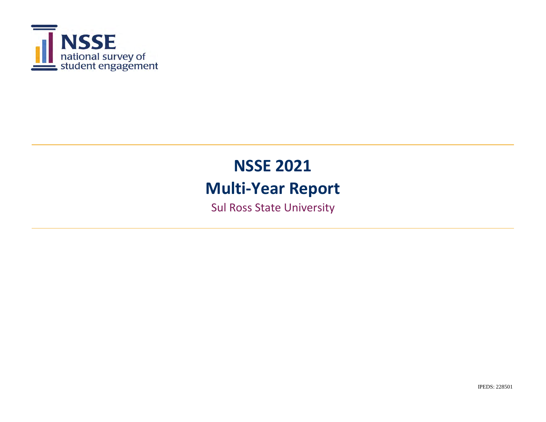

Sul Ross State University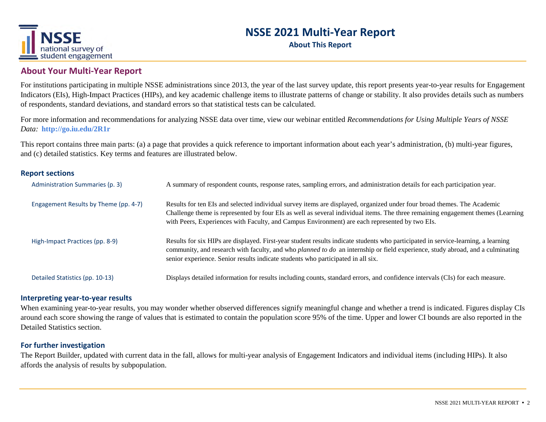

**About This Report**

#### **About Your Multi‐Year Report**

For institutions participating in multiple NSSE administrations since 2013, the year of the last survey update, this report presents year-to-year results for Engagement Indicators (EIs), High-Impact Practices (HIPs), and key academic challenge items to illustrate patterns of change or stability. It also provides details such as numbers of respondents, standard deviations, and standard errors so that statistical tests can be calculated.

For more information and recommendations for analyzing NSSE data over time, view our webinar entitled *Recommendations for Using Multiple Years of NSSE Data:* **http://go.iu.edu/2R1r**

This report contains three main parts: (a) a page that provides a quick reference to important information about each year's administration, (b) multi-year figures, and (c) detailed statistics. Key terms and features are illustrated below.

#### **Report sections**

| Administration Summaries (p. 3)       | A summary of respondent counts, response rates, sampling errors, and administration details for each participation year.                                                                                                                                                                                                                                       |
|---------------------------------------|----------------------------------------------------------------------------------------------------------------------------------------------------------------------------------------------------------------------------------------------------------------------------------------------------------------------------------------------------------------|
| Engagement Results by Theme (pp. 4-7) | Results for ten EIs and selected individual survey items are displayed, organized under four broad themes. The Academic<br>Challenge theme is represented by four EIs as well as several individual items. The three remaining engagement themes (Learning<br>with Peers, Experiences with Faculty, and Campus Environment) are each represented by two EIs.   |
| High-Impact Practices (pp. 8-9)       | Results for six HIPs are displayed. First-year student results indicate students who participated in service-learning, a learning<br>community, and research with faculty, and who <i>planned to do</i> an internship or field experience, study abroad, and a culminating<br>senior experience. Senior results indicate students who participated in all six. |
| Detailed Statistics (pp. 10-13)       | Displays detailed information for results including counts, standard errors, and confidence intervals (CIs) for each measure.                                                                                                                                                                                                                                  |

#### **Interpreting year‐to‐year results**

When examining year-to-year results, you may wonder whether observed differences signify meaningful change and whether a trend is indicated. Figures display CIs around each score showing the range of values that is estimated to contain the population score 95% of the time. Upper and lower CI bounds are also reported in the Detailed Statistics section.

#### **For further investigation**

The Report Builder, updated with current data in the fall, allows for multi-year analysis of Engagement Indicators and individual items (including HIPs). It also affords the analysis of results by subpopulation.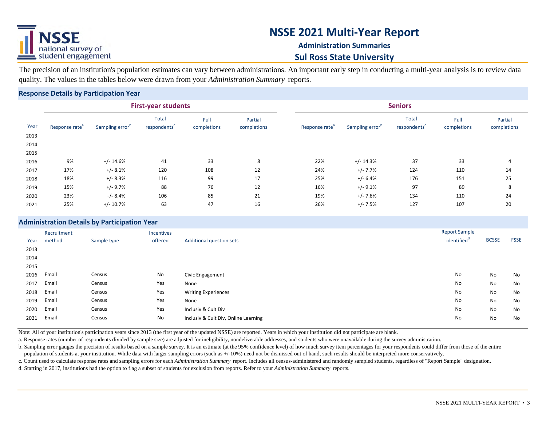

### **Administration Summaries Sul Ross State University**

The precision of an institution's population estimates can vary between administrations. An important early step in conducting a multi-year analysis is to review data quality. The values in the tables below were drawn from your *Administration Summary* reports.

#### **Response Details by Participation Year**

|      |                            |                             | <b>First-year students</b>               |                     |                        | <b>Seniors</b>             |                             |                                   |                     |                        |  |  |  |  |  |
|------|----------------------------|-----------------------------|------------------------------------------|---------------------|------------------------|----------------------------|-----------------------------|-----------------------------------|---------------------|------------------------|--|--|--|--|--|
| Year | Response rate <sup>a</sup> | Sampling error <sup>b</sup> | <b>Total</b><br>respondents <sup>c</sup> | Full<br>completions | Partial<br>completions | Response rate <sup>®</sup> | Sampling error <sup>b</sup> | Total<br>respondents <sup>c</sup> | Full<br>completions | Partial<br>completions |  |  |  |  |  |
| 2013 |                            |                             |                                          |                     |                        |                            |                             |                                   |                     |                        |  |  |  |  |  |
| 2014 |                            |                             |                                          |                     |                        |                            |                             |                                   |                     |                        |  |  |  |  |  |
| 2015 |                            |                             |                                          |                     |                        |                            |                             |                                   |                     |                        |  |  |  |  |  |
| 2016 | 9%                         | $+/- 14.6%$                 | 41                                       | 33                  | 8                      | 22%                        | $+/- 14.3%$                 | 37                                | 33                  | 4                      |  |  |  |  |  |
| 2017 | 17%                        | $+/- 8.1%$                  | 120                                      | 108                 | 12                     | 24%                        | $+/- 7.7%$                  | 124                               | 110                 | 14                     |  |  |  |  |  |
| 2018 | 18%                        | $+/- 8.3%$                  | 116                                      | 99                  | 17                     | 25%                        | $+/- 6.4%$                  | 176                               | 151                 | 25                     |  |  |  |  |  |
| 2019 | 15%                        | +/-9.7%                     | 88                                       | 76                  | 12                     | 16%                        | $+/-9.1%$                   | 97                                | 89                  | 8                      |  |  |  |  |  |
| 2020 | 23%                        | $+/-8.4%$                   | 106                                      | 85                  | 21                     | 19%                        | $+/- 7.6%$                  | 134                               | 110                 | 24                     |  |  |  |  |  |
| 2021 | 25%                        | $+/- 10.7%$                 | 63                                       | 47                  | 16                     | 26%                        | $+/- 7.5%$                  | 127                               | 107                 | 20                     |  |  |  |  |  |

#### **Administration Details by Participation Year**

|      |             | ____        |            |                                 |                         |              |             |
|------|-------------|-------------|------------|---------------------------------|-------------------------|--------------|-------------|
|      | Recruitment |             | Incentives |                                 | <b>Report Sample</b>    |              |             |
| Year | method      | Sample type | offered    | <b>Additional question sets</b> | identified <sup>a</sup> | <b>BCSSE</b> | <b>FSSE</b> |
| 2013 |             |             |            |                                 |                         |              |             |
| 2014 |             |             |            |                                 |                         |              |             |
| 2015 |             |             |            |                                 |                         |              |             |
| 2016 | Email       | Census      | No         | Civic Engagement                | No                      | No           | No          |
|      | $   -$      | ___         |            |                                 |                         |              |             |

| 2017 | Email | Census | Yes | None                                 | No | No | No |
|------|-------|--------|-----|--------------------------------------|----|----|----|
| 2018 | Email | Census | Yes | <b>Writing Experiences</b>           | No | No | No |
| 2019 | Email | Census | Yes | None                                 | No | No | No |
| 2020 | Email | Census | Yes | Inclusiv & Cult Div                  | No | No | No |
| 2021 | Email | Census | No  | Inclusiv & Cult Div, Online Learning | No | No | No |
|      |       |        |     |                                      |    |    |    |

Note: All of your institution's participation years since 2013 (the first year of the updated NSSE) are reported. Years in which your institution did not participate are blank.

a. Response rates (number of respondents divided by sample size) are adjusted for ineligibility, nondeliverable addresses, and students who were unavailable during the survey administration.

b. Sampling error gauges the precision of results based on a sample survey. It is an estimate (at the 95% confidence level) of how much survey item percentages for your respondents could differ from those of the entire population of students at your institution. While data with larger sampling errors (such as +/-10%) need not be dismissed out of hand, such results should be interpreted more conservatively.

c. Count used to calculate response rates and sampling errors for each *Administration Summary* report. Includes all census-administered and randomly sampled students, regardless of "Report Sample" designation.

d. Starting in 2017, institutions had the option to flag a subset of students for exclusion from reports. Refer to your *Administration Summary* reports.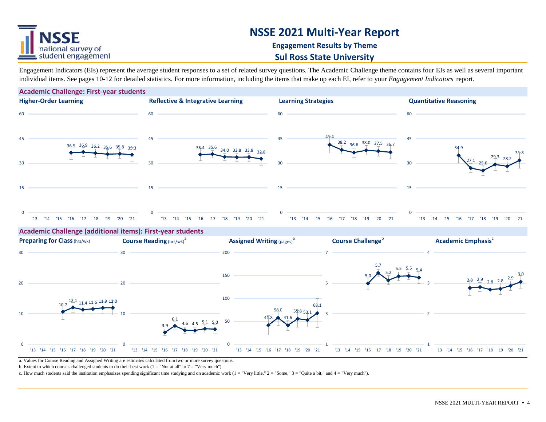

### **Engagement Results by Theme**

#### **Sul Ross State University**

Engagement Indicators (EIs) represent the average student responses to a set of related survey questions. The Academic Challenge theme contains four EIs as well as several important individual items. See pages 10-12 for detailed statistics. For more information, including the items that make up each EI, refer to your *Engagement Indicators* report.



a. Values for Course Reading and Assigned Writing are estimates calculated from two or more survey questions.

b. Extent to which courses challenged students to do their best work  $(1 = "Not at all" to 7 = "Very much").$ 

c. How much students said the institution emphasizes spending significant time studying and on academic work  $(1 = "Verv]$  ittle,"  $2 = "Some," 3 = "Ouite a bit," and 4 = "Verv! much"$ .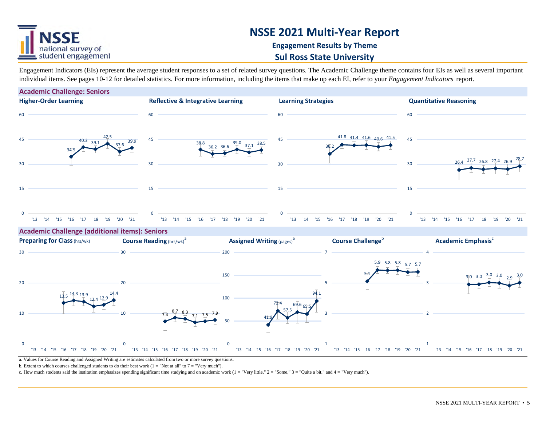

### **Engagement Results by Theme**

#### **Sul Ross State University**

Engagement Indicators (EIs) represent the average student responses to a set of related survey questions. The Academic Challenge theme contains four EIs as well as several important individual items. See pages 10-12 for detailed statistics. For more information, including the items that make up each EI, refer to your *Engagement Indicators* report.



a. Values for Course Reading and Assigned Writing are estimates calculated from two or more survey questions.

b. Extent to which courses challenged students to do their best work  $(1 = "Not at all" to 7 = "Very much").$ 

c. How much students said the institution emphasizes spending significant time studying and on academic work  $(1 = "Very little," 2 = "Some," 3 = "Ouite a bit," and 4 = "Very much").$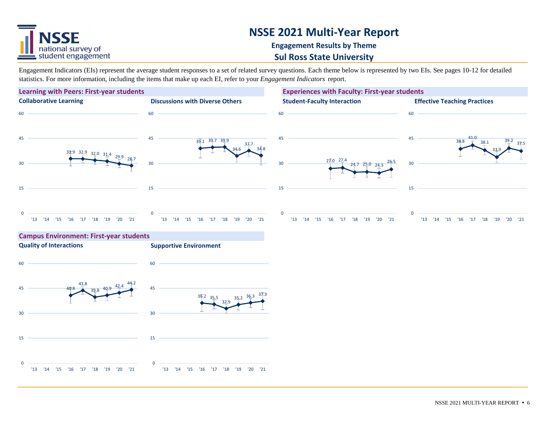

#### **Engagement Results by Theme**

#### **Sul Ross State University**

Engagement Indicators (EIs) represent the average student responses to a set of related survey questions. Each theme below is represented by two EIs. See pages 10-12 for detailed statistics. For more information, including the items that make up each EI, refer to your *Engagement Indicators* report.

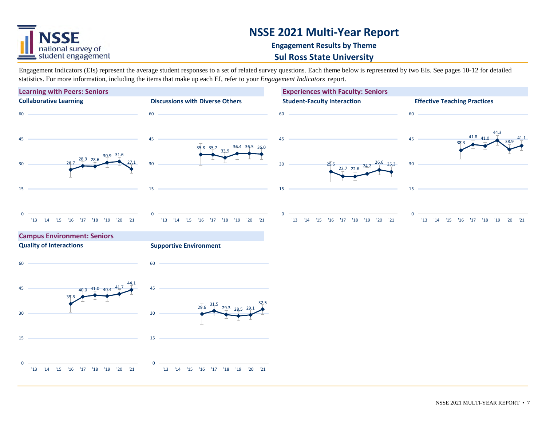

### **Engagement Results by Theme**

#### **Sul Ross State University**

Engagement Indicators (EIs) represent the average student responses to a set of related survey questions. Each theme below is represented by two EIs. See pages 10-12 for detailed statistics. For more information, including the items that make up each EI, refer to your *Engagement Indicators* report.

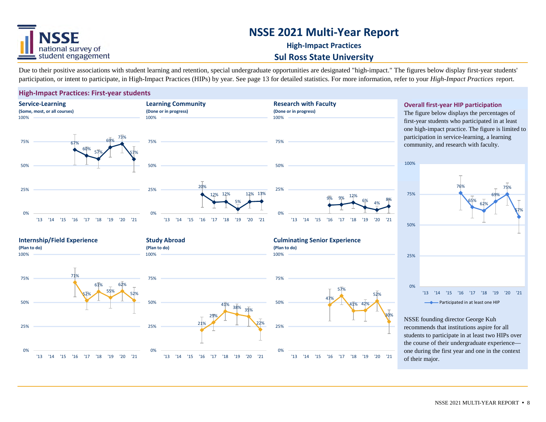

### **High‐Impact Practices Sul Ross State University**

Due to their positive associations with student learning and retention, special undergraduate opportunities are designated "high-impact." The figures below display first-year students' participation, or intent to participate, in High-Impact Practices (HIPs) by year. See page 13 for detailed statistics. For more information, refer to your *High-Impact Practices* report.

#### **High‐Impact Practices: First‐year students**



**Overall first‐year HIP participation**

first-year students who participated in at least one high-impact practice. The figure is limited to participation in service-learning, a learning community, and research with faculty.



NSSE founding director George Kuh recommends that institutions aspire for all students to participate in at least two HIPs over the course of their undergraduate experience one during the first year and one in the context of their major.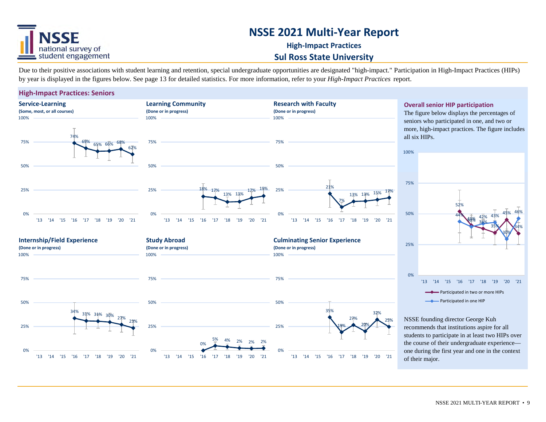

### **High‐Impact Practices Sul Ross State University**

Due to their positive associations with student learning and retention, special undergraduate opportunities are designated "high-impact." Participation in High-Impact Practices (HIPs) by year is displayed in the figures below. See page 13 for detailed statistics. For more information, refer to your *High-Impact Practices* report.

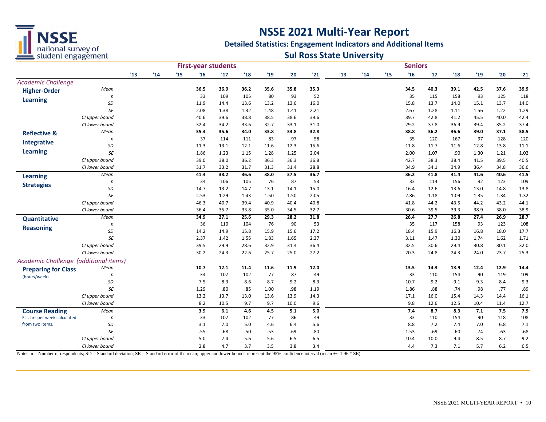

#### **Detailed Statistics: Engagement Indicators and Additional Items**

### **Sul Ross State University**

|                                       |                                  |    |     |              |              | <b>First-year students</b> |               |              |              |              |    |    |     | <b>Seniors</b> |              |               |              |              |              |
|---------------------------------------|----------------------------------|----|-----|--------------|--------------|----------------------------|---------------|--------------|--------------|--------------|----|----|-----|----------------|--------------|---------------|--------------|--------------|--------------|
|                                       |                                  | 13 | '14 | $15^{\circ}$ | '16          | 17                         | $^{\prime}18$ | '19          | '20          | '21          | 13 | 14 | '15 | '16            | '17          | $^{\prime}18$ | '19          | '20          | '21          |
| <b>Academic Challenge</b>             |                                  |    |     |              |              |                            |               |              |              |              |    |    |     |                |              |               |              |              |              |
| <b>Higher-Order</b>                   | Mean                             |    |     |              | 36.5         | 36.9                       | 36.2          | 35.6         | 35.8         | 35.3         |    |    |     | 34.5           | 40.3         | 39.1          | 42.5         | 37.6         | 39.9         |
| <b>Learning</b>                       | n                                |    |     |              | 33           | 109                        | 105           | 80           | 93           | 52           |    |    |     | 35             | 115          | 158           | 93           | 125          | 118          |
|                                       | SD                               |    |     |              | 11.9         | 14.4                       | 13.6          | 13.2         | 13.6         | 16.0         |    |    |     | 15.8           | 13.7         | 14.0          | 15.1         | 13.7         | 14.0         |
|                                       | SE                               |    |     |              | 2.08         | 1.38                       | 1.32          | 1.48         | 1.41         | 2.21         |    |    |     | 2.67           | 1.28         | 1.11          | 1.56         | 1.22         | 1.29         |
|                                       | CI upper bound                   |    |     |              | 40.6         | 39.6                       | 38.8          | 38.5         | 38.6         | 39.6         |    |    |     | 39.7           | 42.8         | 41.2          | 45.5         | 40.0         | 42.4         |
|                                       | CI lower bound                   |    |     |              | 32.4         | 34.2                       | 33.6          | 32.7         | 33.1         | 31.0         |    |    |     | 29.2           | 37.8         | 36.9          | 39.4         | 35.2         | 37.4         |
| <b>Reflective &amp;</b>               | Mean                             |    |     |              | 35.4         | 35.6                       | 34.0          | 33.8         | 33.8         | 32.8         |    |    |     | 38.8           | 36.2         | 36.6          | 39.0         | 37.1         | 38.5         |
| <b>Integrative</b>                    | n                                |    |     |              | 37           | 114                        | 111           | 83           | 97           | 58           |    |    |     | 35             | 120          | 167           | 97           | 128          | 120          |
| <b>Learning</b>                       | SD<br><b>SE</b>                  |    |     |              | 11.3         | 13.1                       | 12.1          | 11.6         | 12.3         | 15.6         |    |    |     | 11.8           | 11.7         | 11.6          | 12.8         | 13.8         | 11.1         |
|                                       |                                  |    |     |              | 1.86         | 1.23                       | 1.15<br>36.2  | 1.28         | 1.25         | 2.04         |    |    |     | 2.00           | 1.07         | .90           | 1.30         | 1.21         | 1.02         |
|                                       | CI upper bound<br>CI lower bound |    |     |              | 39.0<br>31.7 | 38.0<br>33.2               | 31.7          | 36.3<br>31.3 | 36.3<br>31.4 | 36.8<br>28.8 |    |    |     | 42.7<br>34.9   | 38.3<br>34.1 | 38.4<br>34.9  | 41.5<br>36.4 | 39.5<br>34.8 | 40.5<br>36.6 |
|                                       |                                  |    |     |              | 41.4         | 38.2                       | 36.6          | 38.0         | 37.5         | 36.7         |    |    |     | 36.2           | 41.8         | 41.4          | 41.6         | 40.6         | 41.5         |
| <b>Learning</b>                       | Mean<br>n                        |    |     |              | 34           | 106                        | 105           | 76           | 87           | 53           |    |    |     | 33             | 114          | 156           | 92           | 123          | 109          |
| <b>Strategies</b>                     | SD                               |    |     |              | 14.7         | 13.2                       | 14.7          | 13.1         | 14.1         | 15.0         |    |    |     | 16.4           | 12.6         | 13.6          | 13.0         | 14.8         | 13.8         |
|                                       | SE                               |    |     |              | 2.53         | 1.29                       | 1.43          | 1.50         | 1.50         | 2.05         |    |    |     | 2.86           | 1.18         | 1.09          | 1.35         | 1.34         | 1.32         |
|                                       | CI upper bound                   |    |     |              | 46.3         | 40.7                       | 39.4          | 40.9         | 40.4         | 40.8         |    |    |     | 41.8           | 44.2         | 43.5          | 44.2         | 43.2         | 44.1         |
|                                       | CI lower bound                   |    |     |              | 36.4         | 35.7                       | 33.8          | 35.0         | 34.5         | 32.7         |    |    |     | 30.6           | 39.5         | 39.3          | 38.9         | 38.0         | 38.9         |
| <b>Quantitative</b>                   | Mean                             |    |     |              | 34.9         | 27.1                       | 25.6          | 29.3         | 28.2         | 31.8         |    |    |     | 26.4           | 27.7         | 26.8          | 27.4         | 26.9         | 28.7         |
|                                       | n                                |    |     |              | 36           | 110                        | 104           | 76           | 90           | 53           |    |    |     | 35             | 117          | 158           | 93           | 123          | 108          |
| <b>Reasoning</b>                      | SD                               |    |     |              | 14.2         | 14.9                       | 15.8          | 15.9         | 15.6         | 17.2         |    |    |     | 18.4           | 15.9         | 16.3          | 16.8         | 18.0         | 17.7         |
|                                       | SE                               |    |     |              | 2.37         | 1.42                       | 1.55          | 1.83         | 1.65         | 2.37         |    |    |     | 3.11           | 1.47         | 1.30          | 1.74         | 1.62         | 1.71         |
|                                       | CI upper bound                   |    |     |              | 39.5         | 29.9                       | 28.6          | 32.9         | 31.4         | 36.4         |    |    |     | 32.5           | 30.6         | 29.4          | 30.8         | 30.1         | 32.0         |
|                                       | CI lower bound                   |    |     |              | 30.2         | 24.3                       | 22.6          | 25.7         | 25.0         | 27.2         |    |    |     | 20.3           | 24.8         | 24.3          | 24.0         | 23.7         | 25.3         |
| Academic Challenge (additional items) |                                  |    |     |              |              |                            |               |              |              |              |    |    |     |                |              |               |              |              |              |
| <b>Preparing for Class</b>            | Mean                             |    |     |              | 10.7         | 12.1                       | 11.4          | 11.6         | 11.9         | 12.0         |    |    |     | 13.5           | 14.3         | 13.9          | 12.4         | 12.9         | 14.4         |
| (hours/week)                          | n                                |    |     |              | 34           | 107                        | 102           | 77           | 87           | 49           |    |    |     | 33             | 110          | 154           | 90           | 119          | 109          |
|                                       | SD                               |    |     |              | 7.5          | 8.3                        | 8.6           | 8.7          | 9.2          | 8.3          |    |    |     | 10.7           | 9.2          | 9.1           | 9.3          | 8.4          | 9.3          |
|                                       | <b>SE</b>                        |    |     |              | 1.29         | .80                        | .85           | 1.00         | .98          | 1.19         |    |    |     | 1.86           | .88          | .74           | .98          | .77          | .89          |
|                                       | CI upper bound                   |    |     |              | 13.2         | 13.7                       | 13.0          | 13.6         | 13.9         | 14.3         |    |    |     | 17.1           | 16.0         | 15.4          | 14.3         | 14.4         | 16.1         |
|                                       | CI lower bound                   |    |     |              | 8.2          | 10.5                       | 9.7           | 9.7          | 10.0         | 9.6          |    |    |     | 9.8            | 12.6         | 12.5          | 10.4         | 11.4         | 12.7         |
| <b>Course Reading</b>                 | Mean                             |    |     |              | 3.9          | 6.1                        | 4.6           | 4.5          | 5.1          | $5.0$        |    |    |     | 7.4            | 8.7          | 8.3           | 7.1          | 7.5          | 7.9          |
| Est. hrs per week calculated          | n                                |    |     |              | 33           | 107                        | 102           | 77           | 86           | 49           |    |    |     | 33             | 110          | 154           | 90           | 118          | 108          |
| from two items.                       | SD                               |    |     |              | 3.1          | 7.0                        | 5.0           | 4.6          | 6.4          | 5.6          |    |    |     | 8.8            | 7.2          | 7.4           | 7.0          | 6.8          | 7.1          |
|                                       | SE                               |    |     |              | .55          | .68                        | .50           | .53          | .69          | .80          |    |    |     | 1.53           | .69          | .60           | .74          | .63          | .68          |
|                                       | CI upper bound                   |    |     |              | 5.0          | 7.4                        | 5.6           | 5.6          | 6.5          | 6.5          |    |    |     | 10.4           | 10.0         | 9.4           | 8.5          | 8.7          | 9.2          |
|                                       | CI lower bound                   |    |     |              | 2.8          | 4.7                        | 3.7           | 3.5          | 3.8          | 3.4          |    |    |     | 4.4            | 7.3          | 7.1           | 5.7          | 6.2          | 6.5          |

Notes: n = Number of respondents; SD = Standard deviation; SE = Standard error of the mean; upper and lower bounds represent the 95% confidence interval (mean +/- 1.96 \* SE).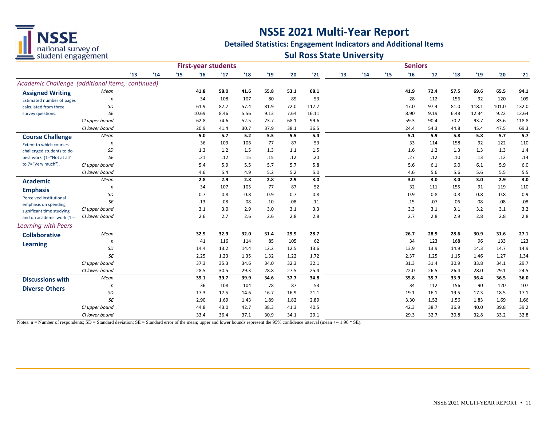

#### **Detailed Statistics: Engagement Indicators and Additional Items**

### **Sul Ross State University**

|                                                  |                |    |     |     |       | <b>First-year students</b> |      |      | <b>Seniors</b> |       |     |     |     |      |      |      |       |       |       |
|--------------------------------------------------|----------------|----|-----|-----|-------|----------------------------|------|------|----------------|-------|-----|-----|-----|------|------|------|-------|-------|-------|
|                                                  |                | 13 | '14 | '15 | '16   | 17                         | '18  | '19  | '20            | '21   | '13 | '14 | '15 | '16  | 17   | '18  | '19   | '20   | '21   |
| Academic Challenge (additional items, continued) |                |    |     |     |       |                            |      |      |                |       |     |     |     |      |      |      |       |       |       |
| <b>Assigned Writing</b>                          | Mean           |    |     |     | 41.8  | 58.0                       | 41.6 | 55.8 | 53.1           | 68.1  |     |     |     | 41.9 | 72.4 | 57.5 | 69.6  | 65.5  | 94.1  |
| Estimated number of pages                        | n              |    |     |     | 34    | 108                        | 107  | 80   | 89             | 53    |     |     |     | 28   | 112  | 156  | 92    | 120   | 109   |
| calculated from three                            | SD             |    |     |     | 61.9  | 87.7                       | 57.4 | 81.9 | 72.0           | 117.7 |     |     |     | 47.0 | 97.4 | 81.0 | 118.1 | 101.0 | 132.0 |
| survey questions.                                | <b>SE</b>      |    |     |     | 10.69 | 8.46                       | 5.56 | 9.13 | 7.64           | 16.11 |     |     |     | 8.90 | 9.19 | 6.48 | 12.34 | 9.22  | 12.64 |
|                                                  | CI upper bound |    |     |     | 62.8  | 74.6                       | 52.5 | 73.7 | 68.1           | 99.6  |     |     |     | 59.3 | 90.4 | 70.2 | 93.7  | 83.6  | 118.8 |
|                                                  | CI lower bound |    |     |     | 20.9  | 41.4                       | 30.7 | 37.9 | 38.1           | 36.5  |     |     |     | 24.4 | 54.3 | 44.8 | 45.4  | 47.5  | 69.3  |
| <b>Course Challenge</b>                          | Mean           |    |     |     | 5.0   | 5.7                        | 5.2  | 5.5  | 5.5            | 5.4   |     |     |     | 5.1  | 5.9  | 5.8  | 5.8   | 5.7   | 5.7   |
| <b>Extent to which courses</b>                   | n              |    |     |     | 36    | 109                        | 106  | 77   | 87             | 53    |     |     |     | 33   | 114  | 158  | 92    | 122   | 110   |
| challenged students to do                        | SD             |    |     |     | 1.3   | 1.2                        | 1.5  | 1.3  | 1.1            | 1.5   |     |     |     | 1.6  | 1.2  | 1.3  | 1.3   | 1.3   | 1.4   |
| best work (1="Not at all"                        | <b>SE</b>      |    |     |     | .21   | .12                        | .15  | .15  | .12            | .20   |     |     |     | .27  | .12  | .10  | .13   | .12   | .14   |
| to 7="Very much")                                | CI upper bound |    |     |     | 5.4   | 5.9                        | 5.5  | 5.7  | 5.7            | 5.8   |     |     |     | 5.6  | 6.1  | 6.0  | 6.1   | 5.9   | 6.0   |
|                                                  | CI lower bound |    |     |     | 4.6   | 5.4                        | 4.9  | 5.2  | 5.2            | 5.0   |     |     |     | 4.6  | 5.6  | 5.6  | 5.6   | 5.5   | 5.5   |
| <b>Academic</b>                                  | Mean           |    |     |     | 2.8   | 2.9                        | 2.8  | 2.8  | 2.9            | 3.0   |     |     |     | 3.0  | 3.0  | 3.0  | 3.0   | 2.9   | 3.0   |
| <b>Emphasis</b>                                  | n              |    |     |     | 34    | 107                        | 105  | 77   | 87             | 52    |     |     |     | 32   | 111  | 155  | 91    | 119   | 110   |
| Perceived institutional                          | SD             |    |     |     | 0.7   | 0.8                        | 0.8  | 0.9  | 0.7            | 0.8   |     |     |     | 0.9  | 0.8  | 0.8  | 0.8   | 0.8   | 0.9   |
| emphasis on spending                             | <b>SE</b>      |    |     |     | .13   | .08                        | .08  | .10  | .08            | .11   |     |     |     | .15  | .07  | .06  | .08   | .08   | .08   |
| significant time studying                        | CI upper bound |    |     |     | 3.1   | 3.0                        | 2.9  | 3.0  | 3.1            | 3.3   |     |     |     | 3.3  | 3.1  | 3.1  | 3.2   | 3.1   | 3.2   |
| and on academic work $(1 =$                      | CI lower bound |    |     |     | 2.6   | 2.7                        | 2.6  | 2.6  | 2.8            | 2.8   |     |     |     | 2.7  | 2.8  | 2.9  | 2.8   | 2.8   | 2.8   |
| Learning with Peers                              |                |    |     |     |       |                            |      |      |                |       |     |     |     |      |      |      |       |       |       |
| <b>Collaborative</b>                             | Mean           |    |     |     | 32.9  | 32.9                       | 32.0 | 31.4 | 29.9           | 28.7  |     |     |     | 26.7 | 28.9 | 28.6 | 30.9  | 31.6  | 27.1  |
| <b>Learning</b>                                  | n              |    |     |     | 41    | 116                        | 114  | 85   | 105            | 62    |     |     |     | 34   | 123  | 168  | 96    | 133   | 123   |
|                                                  | SD             |    |     |     | 14.4  | 13.2                       | 14.4 | 12.2 | 12.5           | 13.6  |     |     |     | 13.9 | 13.9 | 14.9 | 14.3  | 14.7  | 14.9  |
|                                                  | <b>SE</b>      |    |     |     | 2.25  | 1.23                       | 1.35 | 1.32 | 1.22           | 1.72  |     |     |     | 2.37 | 1.25 | 1.15 | 1.46  | 1.27  | 1.34  |
|                                                  | CI upper bound |    |     |     | 37.3  | 35.3                       | 34.6 | 34.0 | 32.3           | 32.1  |     |     |     | 31.3 | 31.4 | 30.9 | 33.8  | 34.1  | 29.7  |
|                                                  | CI lower bound |    |     |     | 28.5  | 30.5                       | 29.3 | 28.8 | 27.5           | 25.4  |     |     |     | 22.0 | 26.5 | 26.4 | 28.0  | 29.1  | 24.5  |
| <b>Discussions with</b>                          | Mean           |    |     |     | 39.1  | 39.7                       | 39.9 | 34.6 | 37.7           | 34.8  |     |     |     | 35.8 | 35.7 | 33.9 | 36.4  | 36.5  | 36.0  |
| <b>Diverse Others</b>                            | n              |    |     |     | 36    | 108                        | 104  | 78   | 87             | 53    |     |     |     | 34   | 112  | 156  | 90    | 120   | 107   |
|                                                  | SD             |    |     |     | 17.3  | 17.5                       | 14.6 | 16.7 | 16.9           | 21.1  |     |     |     | 19.1 | 16.1 | 19.5 | 17.3  | 18.5  | 17.1  |
|                                                  | <b>SE</b>      |    |     |     | 2.90  | 1.69                       | 1.43 | 1.89 | 1.82           | 2.89  |     |     |     | 3.30 | 1.52 | 1.56 | 1.83  | 1.69  | 1.66  |
|                                                  | CI upper bound |    |     |     | 44.8  | 43.0                       | 42.7 | 38.3 | 41.3           | 40.5  |     |     |     | 42.3 | 38.7 | 36.9 | 40.0  | 39.8  | 39.2  |
|                                                  | CI lower bound |    |     |     | 33.4  | 36.4                       | 37.1 | 30.9 | 34.1           | 29.1  |     |     |     | 29.3 | 32.7 | 30.8 | 32.8  | 33.2  | 32.8  |

Notes: n = Number of respondents; SD = Standard deviation; SE = Standard error of the mean; upper and lower bounds represent the 95% confidence interval (mean +/- 1.96 \* SE).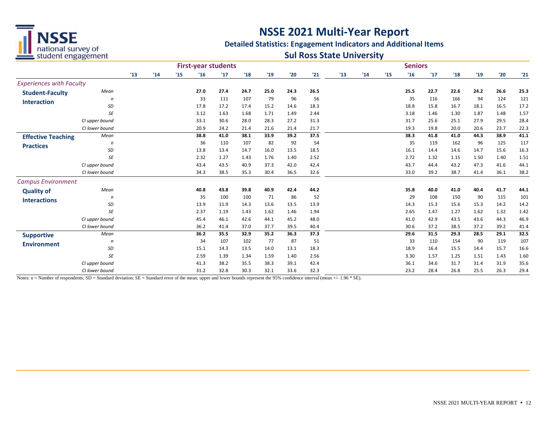

#### **Detailed Statistics: Engagement Indicators and Additional Items**

### **Sul Ross State University**

|                                 |                |    |     |    | <b>First-year students</b> |      |      |      |      | <b>Seniors</b> |    |     |     |      |      |      |      |      |      |
|---------------------------------|----------------|----|-----|----|----------------------------|------|------|------|------|----------------|----|-----|-----|------|------|------|------|------|------|
|                                 |                | 13 | '14 | 15 | '16                        | '17  | '18  | '19  | '20  | '21            | 13 | '14 | 115 | '16  | 17   | '18  | '19  | '20  | '21  |
| <b>Experiences with Faculty</b> |                |    |     |    |                            |      |      |      |      |                |    |     |     |      |      |      |      |      |      |
| <b>Student-Faculty</b>          | Mean           |    |     |    | 27.0                       | 27.4 | 24.7 | 25.0 | 24.3 | 26.5           |    |     |     | 25.5 | 22.7 | 22.6 | 24.2 | 26.6 | 25.3 |
| <b>Interaction</b>              | n              |    |     |    | 33                         | 111  | 107  | 79   | 96   | 56             |    |     |     | 35   | 116  | 166  | 94   | 124  | 121  |
|                                 | SD             |    |     |    | 17.8                       | 17.2 | 17.4 | 15.2 | 14.6 | 18.3           |    |     |     | 18.8 | 15.8 | 16.7 | 18.1 | 16.5 | 17.2 |
|                                 | SE             |    |     |    | 3.12                       | 1.63 | 1.68 | 1.71 | 1.49 | 2.44           |    |     |     | 3.18 | 1.46 | 1.30 | 1.87 | 1.48 | 1.57 |
|                                 | CI upper bound |    |     |    | 33.1                       | 30.6 | 28.0 | 28.3 | 27.2 | 31.3           |    |     |     | 31.7 | 25.6 | 25.1 | 27.9 | 29.5 | 28.4 |
|                                 | CI lower bound |    |     |    | 20.9                       | 24.2 | 21.4 | 21.6 | 21.4 | 21.7           |    |     |     | 19.3 | 19.8 | 20.0 | 20.6 | 23.7 | 22.3 |
| <b>Effective Teaching</b>       | Mean           |    |     |    | 38.8                       | 41.0 | 38.1 | 33.9 | 39.2 | 37.5           |    |     |     | 38.3 | 41.8 | 41.0 | 44.3 | 38.9 | 41.1 |
| <b>Practices</b>                | n              |    |     |    | 36                         | 110  | 107  | 82   | 92   | 54             |    |     |     | 35   | 119  | 162  | 96   | 125  | 117  |
|                                 | <b>SD</b>      |    |     |    | 13.8                       | 13.4 | 14.7 | 16.0 | 13.5 | 18.5           |    |     |     | 16.1 | 14.4 | 14.6 | 14.7 | 15.6 | 16.3 |
|                                 | SE             |    |     |    | 2.32                       | 1.27 | 1.43 | 1.76 | 1.40 | 2.52           |    |     |     | 2.72 | 1.32 | 1.15 | 1.50 | 1.40 | 1.51 |
|                                 | CI upper bound |    |     |    | 43.4                       | 43.5 | 40.9 | 37.3 | 42.0 | 42.4           |    |     |     | 43.7 | 44.4 | 43.2 | 47.3 | 41.6 | 44.1 |
|                                 | CI lower bound |    |     |    | 34.3                       | 38.5 | 35.3 | 30.4 | 36.5 | 32.6           |    |     |     | 33.0 | 39.2 | 38.7 | 41.4 | 36.1 | 38.2 |
| <b>Campus Environment</b>       |                |    |     |    |                            |      |      |      |      |                |    |     |     |      |      |      |      |      |      |
| <b>Quality of</b>               | Mean           |    |     |    | 40.8                       | 43.8 | 39.8 | 40.9 | 42.4 | 44.2           |    |     |     | 35.8 | 40.0 | 41.0 | 40.4 | 41.7 | 44.1 |
| <b>Interactions</b>             | n              |    |     |    | 35                         | 100  | 100  | 71   | 86   | 52             |    |     |     | 29   | 108  | 150  | 90   | 115  | 101  |
|                                 | SD             |    |     |    | 13.9                       | 11.9 | 14.3 | 13.6 | 13.5 | 13.9           |    |     |     | 14.3 | 15.3 | 15.6 | 15.3 | 14.2 | 14.2 |
|                                 | SE             |    |     |    | 2.37                       | 1.19 | 1.43 | 1.62 | 1.46 | 1.94           |    |     |     | 2.65 | 1.47 | 1.27 | 1.62 | 1.32 | 1.42 |
|                                 | CI upper bound |    |     |    | 45.4                       | 46.1 | 42.6 | 44.1 | 45.2 | 48.0           |    |     |     | 41.0 | 42.9 | 43.5 | 43.6 | 44.3 | 46.9 |
|                                 | CI lower bound |    |     |    | 36.2                       | 41.4 | 37.0 | 37.7 | 39.5 | 40.4           |    |     |     | 30.6 | 37.2 | 38.5 | 37.2 | 39.2 | 41.4 |
| <b>Supportive</b>               | Mean           |    |     |    | 36.2                       | 35.5 | 32.9 | 35.2 | 36.3 | 37.3           |    |     |     | 29.6 | 31.5 | 29.3 | 28.5 | 29.1 | 32.5 |
| <b>Environment</b>              | n              |    |     |    | 34                         | 107  | 102  | 77   | 87   | 51             |    |     |     | 33   | 110  | 154  | 90   | 119  | 107  |
|                                 | SD             |    |     |    | 15.1                       | 14.3 | 13.5 | 14.0 | 13.1 | 18.3           |    |     |     | 18.9 | 16.4 | 15.5 | 14.4 | 15.7 | 16.6 |
|                                 | SE             |    |     |    | 2.59                       | 1.39 | 1.34 | 1.59 | 1.40 | 2.56           |    |     |     | 3.30 | 1.57 | 1.25 | 1.51 | 1.43 | 1.60 |
|                                 | CI upper bound |    |     |    | 41.3                       | 38.2 | 35.5 | 38.3 | 39.1 | 42.4           |    |     |     | 36.1 | 34.6 | 31.7 | 31.4 | 31.9 | 35.6 |
|                                 | CI lower bound |    |     |    | 31.2                       | 32.8 | 30.3 | 32.1 | 33.6 | 32.3           |    |     |     | 23.2 | 28.4 | 26.8 | 25.5 | 26.3 | 29.4 |

Notes: n = Number of respondents; SD = Standard deviation; SE = Standard error of the mean; upper and lower bounds represent the 95% confidence interval (mean +/- 1.96 \* SE).